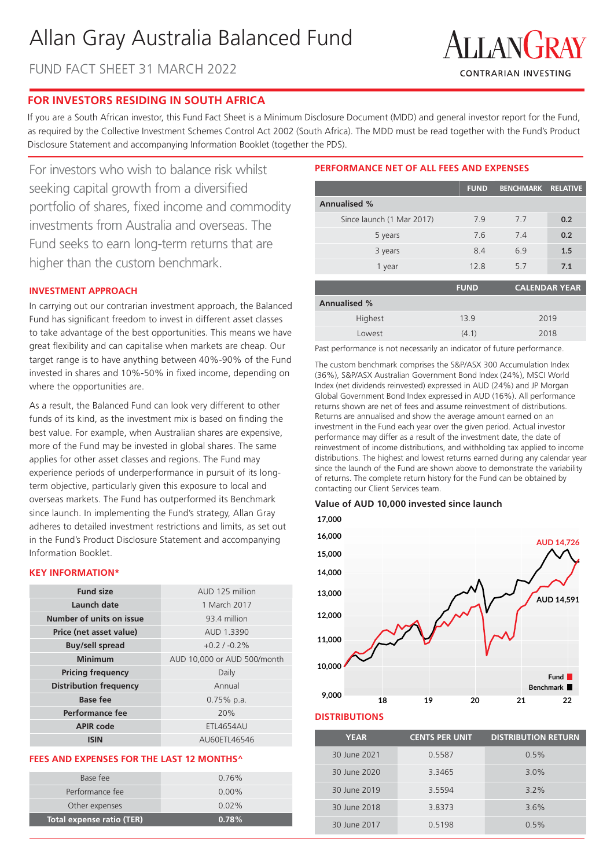# Allan Gray Australia Balanced Fund

FUND FACT SHEET 31 MARCH 2022



# **FOR INVESTORS RESIDING IN SOUTH AFRICA**

If you are a South African investor, this Fund Fact Sheet is a Minimum Disclosure Document (MDD) and general investor report for the Fund, as required by the Collective Investment Schemes Control Act 2002 (South Africa). The MDD must be read together with the Fund's Product Disclosure Statement and accompanying Information Booklet (together the PDS).

For investors who wish to balance risk whilst seeking capital growth from a diversified portfolio of shares, fixed income and commodity investments from Australia and overseas. The Fund seeks to earn long-term returns that are higher than the custom benchmark.

# **INVESTMENT APPROACH**

In carrying out our contrarian investment approach, the Balanced Fund has significant freedom to invest in different asset classes to take advantage of the best opportunities. This means we have great flexibility and can capitalise when markets are cheap. Our target range is to have anything between 40%-90% of the Fund invested in shares and 10%-50% in fixed income, depending on where the opportunities are.

As a result, the Balanced Fund can look very different to other funds of its kind, as the investment mix is based on finding the best value. For example, when Australian shares are expensive, more of the Fund may be invested in global shares. The same applies for other asset classes and regions. The Fund may experience periods of underperformance in pursuit of its longterm objective, particularly given this exposure to local and overseas markets. The Fund has outperformed its Benchmark since launch. In implementing the Fund's strategy, Allan Gray adheres to detailed investment restrictions and limits, as set out in the Fund's Product Disclosure Statement and accompanying Information Booklet.

# **KEY INFORMATION\***

| <b>Fund size</b>              | AUD 125 million             |
|-------------------------------|-----------------------------|
| Launch date                   | 1 March 2017                |
| Number of units on issue      | 93.4 million                |
| Price (net asset value)       | AUD 1.3390                  |
| <b>Buy/sell spread</b>        | $+0.2/ -0.2%$               |
| Minimum                       | AUD 10,000 or AUD 500/month |
| <b>Pricing frequency</b>      | Daily                       |
| <b>Distribution frequency</b> | Annual                      |
| <b>Base fee</b>               | $0.75\%$ p.a.               |
| Performance fee               | 20%                         |
| <b>APIR code</b>              | <b>ETL4654AU</b>            |
| ISIN                          | AU60ETL46546                |

# **FEES AND EXPENSES FOR THE LAST 12 MONTHS^**

| Total expense ratio (TER) | 0.78%    |
|---------------------------|----------|
| Other expenses            | $0.02\%$ |
| Performance fee           | $0.00\%$ |
| Base fee                  | $0.76\%$ |
|                           |          |

# **PERFORMANCE NET OF ALL FEES AND EXPENSES**

|                           | <b>FUND</b> | <b>BENCHMARK RELATIVE</b> |                      |
|---------------------------|-------------|---------------------------|----------------------|
| <b>Annualised %</b>       |             |                           |                      |
| Since launch (1 Mar 2017) | 7.9         | 7.7                       | 0.2                  |
| 5 years                   | 7.6         | 7.4                       | 0.2                  |
| 3 years                   | 8.4         | 6.9                       | 1.5                  |
| 1 year                    | 12.8        | 5.7                       | 7.1                  |
|                           | <b>FUND</b> |                           | <b>CALENDAR YEAR</b> |

| <b>Annualised %</b> |       |      |
|---------------------|-------|------|
| Highest             | 139   | 2019 |
| Lowest              | (4.1) | 2018 |

Past performance is not necessarily an indicator of future performance.

The custom benchmark comprises the S&P/ASX 300 Accumulation Index (36%), S&P/ASX Australian Government Bond Index (24%), MSCI World Index (net dividends reinvested) expressed in AUD (24%) and JP Morgan Global Government Bond Index expressed in AUD (16%). All performance returns shown are net of fees and assume reinvestment of distributions. Returns are annualised and show the average amount earned on an investment in the Fund each year over the given period. Actual investor performance may differ as a result of the investment date, the date of reinvestment of income distributions, and withholding tax applied to income distributions. The highest and lowest returns earned during any calendar year since the launch of the Fund are shown above to demonstrate the variability of returns. The complete return history for the Fund can be obtained by contacting our Client Services team.

#### **Value of AUD 10,000 invested since launch**



#### **DISTRIBUTIONS**

| <b>YEAR</b>  | <b>CENTS PER UNIT</b> | <b>DISTRIBUTION RETURN</b> |
|--------------|-----------------------|----------------------------|
| 30 June 2021 | 0.5587                | 0.5%                       |
| 30 June 2020 | 3.3465                | 3.0%                       |
| 30 June 2019 | 3.5594                | $3.2\%$                    |
| 30 June 2018 | 3.8373                | 3.6%                       |
| 30 June 2017 | 0.5198                | 0.5%                       |